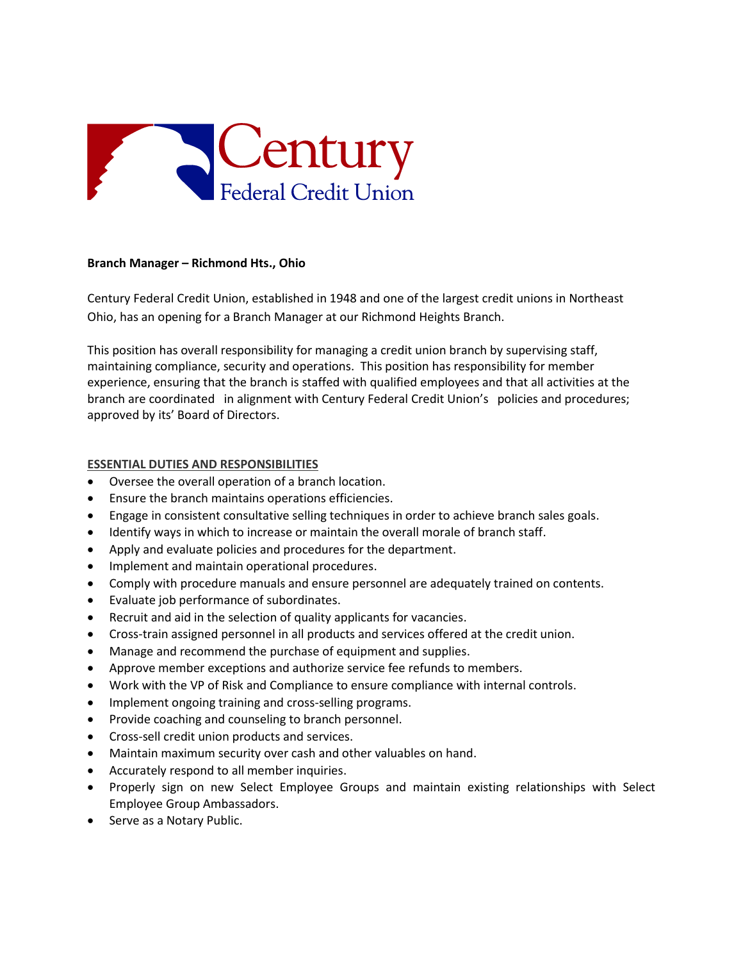

## **Branch Manager – Richmond Hts., Ohio**

Century Federal Credit Union, established in 1948 and one of the largest credit unions in Northeast Ohio, has an opening for a Branch Manager at our Richmond Heights Branch.

This position has overall responsibility for managing a credit union branch by supervising staff, maintaining compliance, security and operations. This position has responsibility for member experience, ensuring that the branch is staffed with qualified employees and that all activities at the branch are coordinated in alignment with Century Federal Credit Union's policies and procedures; approved by its' Board of Directors.

## **ESSENTIAL DUTIES AND RESPONSIBILITIES**

- Oversee the overall operation of a branch location.
- Ensure the branch maintains operations efficiencies.
- Engage in consistent consultative selling techniques in order to achieve branch sales goals.
- Identify ways in which to increase or maintain the overall morale of branch staff.
- Apply and evaluate policies and procedures for the department.
- Implement and maintain operational procedures.
- Comply with procedure manuals and ensure personnel are adequately trained on contents.
- Evaluate job performance of subordinates.
- Recruit and aid in the selection of quality applicants for vacancies.
- Cross-train assigned personnel in all products and services offered at the credit union.
- Manage and recommend the purchase of equipment and supplies.
- Approve member exceptions and authorize service fee refunds to members.
- Work with the VP of Risk and Compliance to ensure compliance with internal controls.
- Implement ongoing training and cross-selling programs.
- Provide coaching and counseling to branch personnel.
- Cross-sell credit union products and services.
- Maintain maximum security over cash and other valuables on hand.
- Accurately respond to all member inquiries.
- Properly sign on new Select Employee Groups and maintain existing relationships with Select Employee Group Ambassadors.
- Serve as a Notary Public.